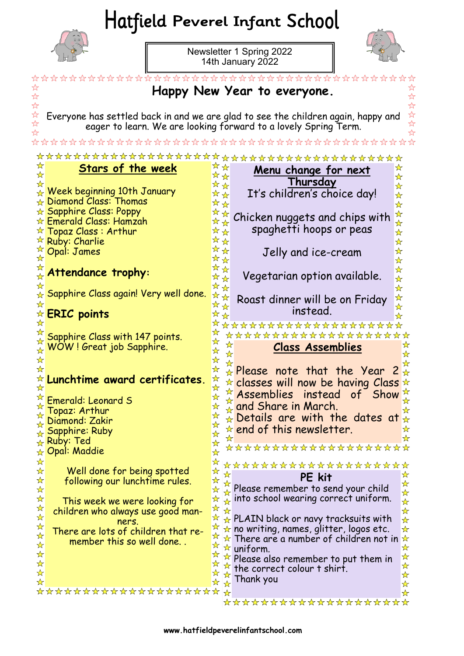# Hatfield Peverel Infant School



 $\parallel$ 

Newsletter 1 Spring 2022 14th January 2022



I

|                                              |                                                                                      |                                                   | Happy New Year to everyone.                                                                                                                          |  |
|----------------------------------------------|--------------------------------------------------------------------------------------|---------------------------------------------------|------------------------------------------------------------------------------------------------------------------------------------------------------|--|
|                                              |                                                                                      |                                                   | Everyone has settled back in and we are glad to see the children again, happy and<br>eager to learn. We are looking forward to a lovely Spring Term. |  |
|                                              |                                                                                      |                                                   |                                                                                                                                                      |  |
| ☆                                            |                                                                                      |                                                   | <u> 17 17 17 17 17 1</u>                                                                                                                             |  |
| ☆                                            | <b>Stars of the week</b>                                                             | ☆☆<br>☆☆                                          | ☆<br><u>Menu change for next</u><br>$\frac{1}{\mathcal{N}}$                                                                                          |  |
| ଧ∕                                           | Week beginning 10th January<br>Diamond Class: Thomas<br><b>Sapphire Class: Poppy</b> | ☆☆<br>☆☆<br>☆☆                                    | <b>Thursday</b><br>$\star$<br>It's children's choice day!<br>$\frac{\lambda}{\lambda}$<br>$\frac{\lambda}{\lambda}$                                  |  |
| ☆<br>☆                                       | Emerald Class: Hamzah<br>Topaz Class: Arthur<br>Ruby: Charlie                        | ☆<br>$\star$<br>$\frac{1}{\sqrt{2}}$<br>☆☆<br>☆☆  | $\star$<br>Chicken nuggets and chips with<br>$\frac{\lambda}{\lambda}$<br>spaghetti hoops or peas<br>☆<br>☆                                          |  |
| ☆<br>$\frac{1}{M}$                           | Opal: James                                                                          | **<br>☆☆                                          | $\star$<br>Jelly and ice-cream<br>$\frac{1}{\mathcal{N}}$                                                                                            |  |
| $\frac{1}{2}$                                | Attendance trophy:                                                                   | ☆☆<br>☆☆<br>**                                    | $\frac{1}{\mathcal{N}}$<br>Vegetarian option available.<br>$\mathbf{\hat{x}}$<br>☆                                                                   |  |
| ☆<br>☆<br>$\frac{1}{2}$                      | Sapphire Class again! Very well done.<br><b>ERIC points</b>                          | ☆<br>☆<br>☆                                       | $\frac{1}{\mathcal{N}}$<br>Roast dinner will be on Friday<br>instead.                                                                                |  |
| ☆                                            |                                                                                      |                                                   | <del><u>ਹੁੰਦਾ ਹੁੰਦਾ ਹੁੰਦਾ ਹੁੰਦਾ ਹੁੰਦਾ ਹੁੰਦਾ ਹੁੰਦਾ</u></del>                                                                                          |  |
|                                              | Sapphire Class with 147 points.                                                      | ☆                                                 | ***************<br>☆                                                                                                                                 |  |
| $\frac{1}{2}$<br>☆                           | WOW! Great job Sapphire.                                                             |                                                   | <b>Class Assemblies</b>                                                                                                                              |  |
| ☆                                            |                                                                                      |                                                   | $\star$ Please note that the Year<br>☆                                                                                                               |  |
|                                              | Lunchtime award certificates.                                                        |                                                   | $\star$ classes will now be having Class<br>☆                                                                                                        |  |
|                                              | Emerald: Leonard S                                                                   | ☆                                                 | Assemblies instead<br>of Show                                                                                                                        |  |
| ফ                                            | Topaz: Arthur                                                                        | Ⅵ                                                 | and Share in March.                                                                                                                                  |  |
| ☆                                            | Diamond: Zakir<br><b>Sapphire: Ruby</b>                                              | ☆                                                 | $\star$ Details are with the dates at $\star$<br>☆<br>$\star$ end of this newsletter.                                                                |  |
|                                              | <sub>☆</sub> Ruby: Ted                                                               | ☆<br>☆<br>$\frac{1}{\mathcal{N}}$                 | ☆                                                                                                                                                    |  |
| ☆                                            | Opal: Maddie                                                                         | $\frac{1}{\mathcal{N}}$                           | *******************                                                                                                                                  |  |
| ☆<br>$\star$                                 | Well done for being spotted                                                          | $\frac{1}{\sqrt{2}}$<br>$\frac{1}{\sqrt{2}}$<br>☆ | ********************<br>☆                                                                                                                            |  |
| $\frac{1}{\sqrt{2}}$<br>$\frac{1}{\sqrt{2}}$ | following our lunchtime rules.                                                       | $\frac{\sqrt{\lambda}}{\lambda}$<br>计计<br>☆       | PE kit<br>☆<br>Please remember to send your child                                                                                                    |  |
| $\star$                                      | This week we were looking for                                                        | ☆                                                 | $\frac{\lambda}{\lambda}$<br>$\mathbb Q$ into school wearing correct uniform.<br>$\frac{1}{\mathcal{N}}$                                             |  |
| $\frac{1}{\sqrt{2}}$<br>$\frac{1}{\sqrt{2}}$ | children who always use good man-                                                    | $\frac{1}{\sqrt{2}}$<br>$\frac{1}{\sqrt{2}}$<br>☆ | $\frac{1}{\sqrt{2}}$                                                                                                                                 |  |
| ☆                                            | ners.<br>There are lots of children that re-                                         | ☆                                                 | $\star$ PLAIN black or navy tracksuits with<br>$\frac{\lambda}{\lambda}$<br>$\star$ no writing, names, glitter, logos etc.<br>☆                      |  |
| $\frac{1}{\sqrt{2}}$<br>☆                    | member this so well done                                                             | ☆<br>☆                                            | $\star$ There are a number of children not in<br>☆                                                                                                   |  |
| ☆                                            |                                                                                      |                                                   | $\star$ uniform.<br>☆<br>☆<br>$\overline{P}$ Please also remember to put them in                                                                     |  |
| $\frac{1}{\sqrt{2}}$<br>$\frac{1}{\sqrt{2}}$ |                                                                                      |                                                   | $\frac{1}{\sqrt{2}}$<br>$\frac{1}{x}$ the correct colour t shirt.<br>☆                                                                               |  |
| ☆                                            |                                                                                      | ☆<br>$\frac{1}{\sqrt{2}}$                         | Thank you<br>☆                                                                                                                                       |  |
|                                              | ********************                                                                 |                                                   | ☆<br>********************                                                                                                                            |  |